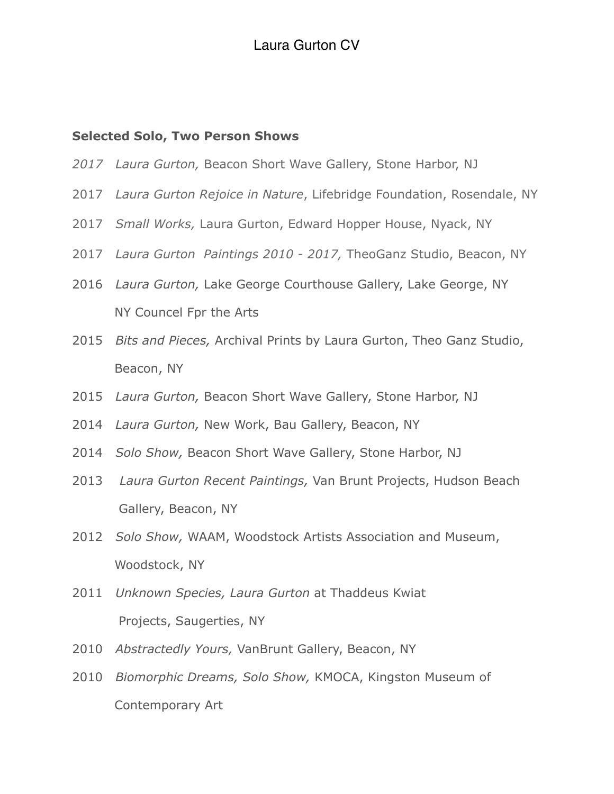#### **Selected Solo, Two Person Shows**

- *2017 Laura Gurton,* Beacon Short Wave Gallery, Stone Harbor, NJ
- 2017 *Laura Gurton Rejoice in Nature*, Lifebridge Foundation, Rosendale, NY
- 2017 *Small Works,* Laura Gurton, Edward Hopper House, Nyack, NY
- 2017 *Laura Gurton Paintings 2010 2017,* TheoGanz Studio, Beacon, NY
- 2016 *Laura Gurton,* Lake George Courthouse Gallery, Lake George, NY NY Councel Fpr the Arts
- 2015 *Bits and Pieces,* Archival Prints by Laura Gurton, Theo Ganz Studio, Beacon, NY
- 2015 *Laura Gurton,* Beacon Short Wave Gallery, Stone Harbor, NJ
- 2014 *Laura Gurton,* New Work, Bau Gallery, Beacon, NY
- 2014 *Solo Show,* Beacon Short Wave Gallery, Stone Harbor, NJ
- 2013 *Laura Gurton Recent Paintings,* Van Brunt Projects, Hudson Beach Gallery, Beacon, NY
- 2012 *Solo Show,* WAAM, Woodstock Artists Association and Museum, Woodstock, NY
- 2011 *Unknown Species, Laura Gurton* at Thaddeus Kwiat Projects, Saugerties, NY
- 2010 *Abstractedly Yours,* VanBrunt Gallery, Beacon, NY
- 2010 *Biomorphic Dreams, Solo Show,* KMOCA, Kingston Museum of Contemporary Art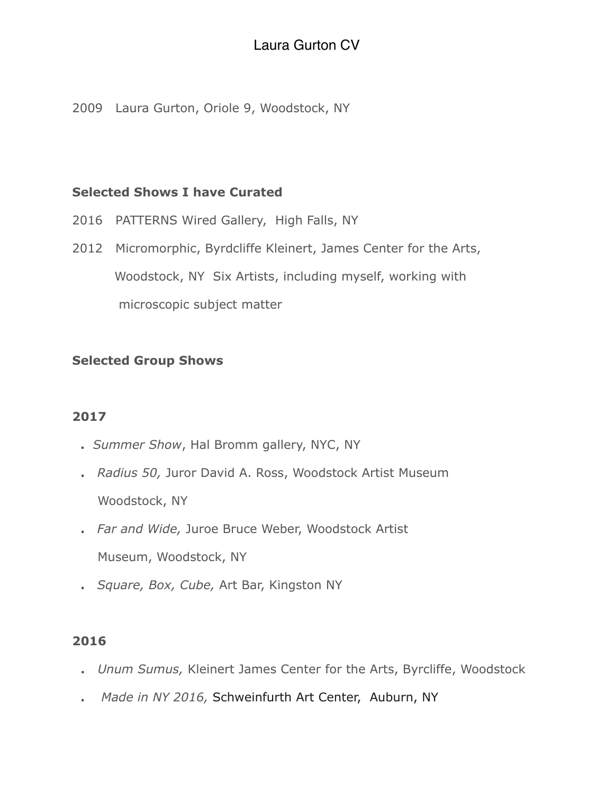# Laura Gurton CV

2009 Laura Gurton, Oriole 9, Woodstock, NY

#### **Selected Shows I have Curated**

2016 PATTERNS Wired Gallery, High Falls, NY

2012 Micromorphic, Byrdcliffe Kleinert, James Center for the Arts, Woodstock, NY Six Artists, including myself, working with microscopic subject matter

#### **Selected Group Shows**

#### **2017**

- **.** *Summer Show*, Hal Bromm gallery, NYC, NY
- **.** *Radius 50,* Juror David A. Ross, Woodstock Artist Museum Woodstock, NY
- **.** *Far and Wide,* Juroe Bruce Weber, Woodstock Artist Museum, Woodstock, NY
- **.** *Square, Box, Cube,* Art Bar, Kingston NY

- **.** *Unum Sumus,* Kleinert James Center for the Arts, Byrcliffe, Woodstock
- **.** *Made in NY 2016,* Schweinfurth Art Center, Auburn, NY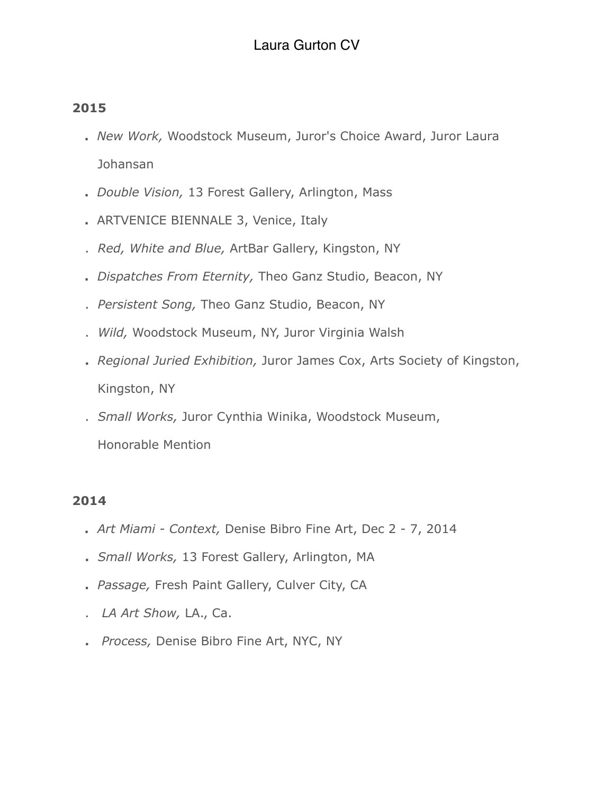#### **2015**

- **.** *New Work,* Woodstock Museum, Juror's Choice Award, Juror Laura Johansan
- **.** *Double Vision,* 13 Forest Gallery, Arlington, Mass
- **.** ARTVENICE BIENNALE 3, Venice, Italy
- . *Red, White and Blue,* ArtBar Gallery, Kingston, NY
- **.** *Dispatches From Eternity,* Theo Ganz Studio, Beacon, NY
- . *Persistent Song,* Theo Ganz Studio, Beacon, NY
- . *Wild,* Woodstock Museum, NY, Juror Virginia Walsh
- **.** *Regional Juried Exhibition,* Juror James Cox, Arts Society of Kingston, Kingston, NY
- . *Small Works,* Juror Cynthia Winika, Woodstock Museum, Honorable Mention

- **.** *Art Miami Context,* Denise Bibro Fine Art, Dec 2 7, 2014
- **.** *Small Works,* 13 Forest Gallery, Arlington, MA
- **.** *Passage,* Fresh Paint Gallery, Culver City, CA
- . *LA Art Show,* LA., Ca.
- **.** *Process,* Denise Bibro Fine Art, NYC, NY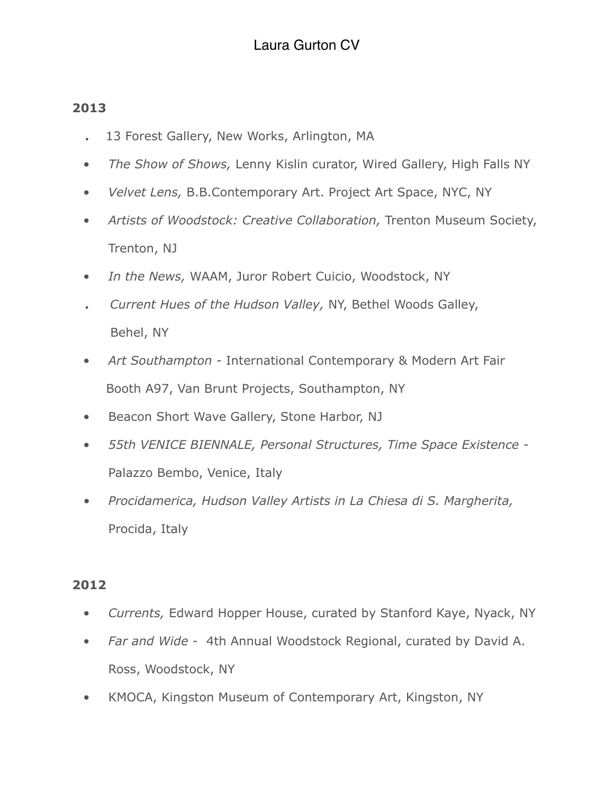## **2013**

- **.** 13 Forest Gallery, New Works, Arlington, MA
- *The Show of Shows,* Lenny Kislin curator, Wired Gallery, High Falls NY
- *Velvet Lens,* B.B.Contemporary Art. Project Art Space, NYC, NY
- *Artists of Woodstock: Creative Collaboration,* Trenton Museum Society, Trenton, NJ
- *In the News,* WAAM, Juror Robert Cuicio, Woodstock, NY
- **.** *Current Hues of the Hudson Valley,* NY, Bethel Woods Galley, Behel, NY
- *Art Southampton* International Contemporary & Modern Art Fair Booth A97, Van Brunt Projects, Southampton, NY
- Beacon Short Wave Gallery, Stone Harbor, NJ
- *55th VENICE BIENNALE, Personal Structures, Time Space Existence*  Palazzo Bembo, Venice, Italy
- *• Procidamerica, Hudson Valley Artists in La Chiesa di S. Margherita,*  Procida, Italy

- *Currents,* Edward Hopper House, curated by Stanford Kaye, Nyack, NY
- *Far and Wide*  4th Annual Woodstock Regional, curated by David A. Ross, Woodstock, NY
- KMOCA, Kingston Museum of Contemporary Art, Kingston, NY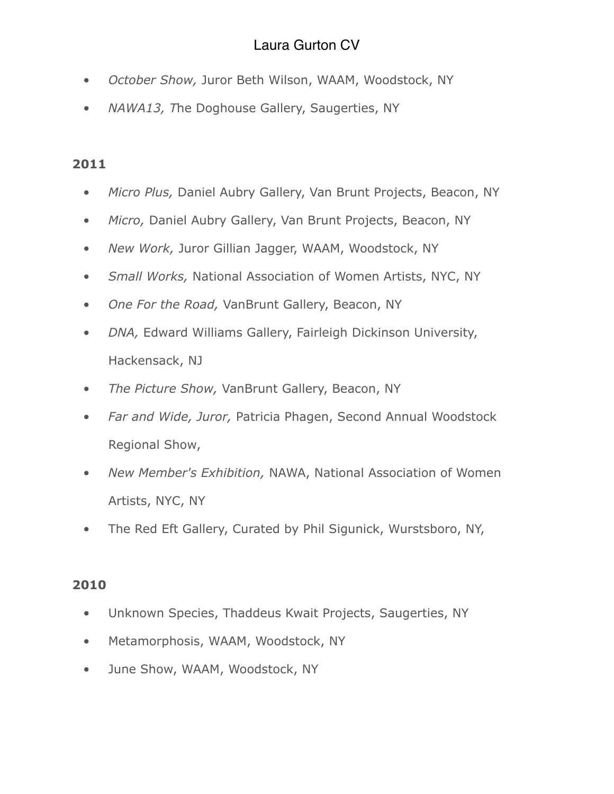# Laura Gurton CV

- *October Show,* Juror Beth Wilson, WAAM, Woodstock, NY
- *NAWA13, T*he Doghouse Gallery, Saugerties, NY

## **2011**

- *Micro Plus,* Daniel Aubry Gallery, Van Brunt Projects, Beacon, NY
- *Micro,* Daniel Aubry Gallery, Van Brunt Projects, Beacon, NY
- *New Work,* Juror Gillian Jagger, WAAM, Woodstock, NY
- *Small Works,* National Association of Women Artists, NYC, NY
- *One For the Road,* VanBrunt Gallery, Beacon, NY
- *DNA,* Edward Williams Gallery, Fairleigh Dickinson University, Hackensack, NJ
- *The Picture Show,* VanBrunt Gallery, Beacon, NY
- *Far and Wide, Juror,* Patricia Phagen, Second Annual Woodstock Regional Show,
- *New Member's Exhibition,* NAWA, National Association of Women Artists, NYC, NY
- The Red Eft Gallery, Curated by Phil Sigunick, Wurstsboro, NY,

- Unknown Species, Thaddeus Kwait Projects, Saugerties, NY
- Metamorphosis, WAAM, Woodstock, NY
- June Show, WAAM, Woodstock, NY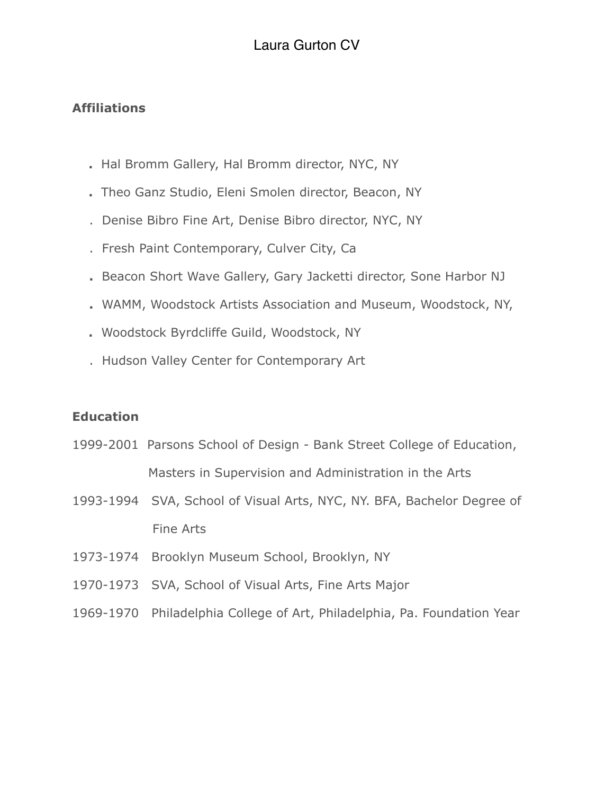## **Affiliations**

- **.** Hal Bromm Gallery, Hal Bromm director, NYC, NY
- **.** Theo Ganz Studio, Eleni Smolen director, Beacon, NY
- . Denise Bibro Fine Art, Denise Bibro director, NYC, NY
- . Fresh Paint Contemporary, Culver City, Ca
- **.** Beacon Short Wave Gallery, Gary Jacketti director, Sone Harbor NJ
- **.** WAMM, Woodstock Artists Association and Museum, Woodstock, NY,
- **.** Woodstock Byrdcliffe Guild, Woodstock, NY
- . Hudson Valley Center for Contemporary Art

### **Education**

- 1999-2001 Parsons School of Design Bank Street College of Education, Masters in Supervision and Administration in the Arts
- 1993-1994 SVA, School of Visual Arts, NYC, NY. BFA, Bachelor Degree of Fine Arts
- 1973-1974 Brooklyn Museum School, Brooklyn, NY
- 1970-1973 SVA, School of Visual Arts, Fine Arts Major
- 1969-1970 Philadelphia College of Art, Philadelphia, Pa. Foundation Year